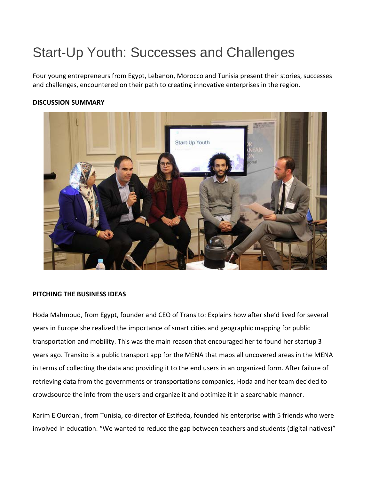# Start-Up Youth: Successes and Challenges

Four young entrepreneurs from Egypt, Lebanon, Morocco and Tunisia present their stories, successes and challenges, encountered on their path to creating innovative enterprises in the region.

## **DISCUSSION SUMMARY**



## **PITCHING THE BUSINESS IDEAS**

Hoda Mahmoud, from Egypt, founder and CEO of Transito: Explains how after she'd lived for several years in Europe she realized the importance of smart cities and geographic mapping for public transportation and mobility. This was the main reason that encouraged her to found her startup 3 years ago. Transito is a public transport app for the MENA that maps all uncovered areas in the MENA in terms of collecting the data and providing it to the end users in an organized form. After failure of retrieving data from the governments or transportations companies, Hoda and her team decided to crowdsource the info from the users and organize it and optimize it in a searchable manner.

Karim ElOurdani, from Tunisia, co-director of Estifeda, founded his enterprise with 5 friends who were involved in education. "We wanted to reduce the gap between teachers and students (digital natives)"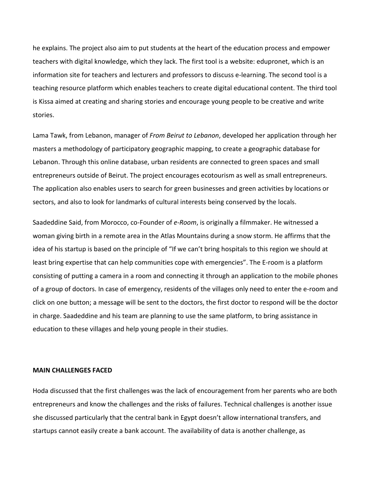he explains. The project also aim to put students at the heart of the education process and empower teachers with digital knowledge, which they lack. The first tool is a website: edupronet, which is an information site for teachers and lecturers and professors to discuss e-learning. The second tool is a teaching resource platform which enables teachers to create digital educational content. The third tool is Kissa aimed at creating and sharing stories and encourage young people to be creative and write stories.

Lama Tawk, from Lebanon, manager of *From Beirut to Lebanon*, developed her application through her masters a methodology of participatory geographic mapping, to create a geographic database for Lebanon. Through this online database, urban residents are connected to green spaces and small entrepreneurs outside of Beirut. The project encourages ecotourism as well as small entrepreneurs. The application also enables users to search for green businesses and green activities by locations or sectors, and also to look for landmarks of cultural interests being conserved by the locals.

Saadeddine Said, from Morocco, co-Founder of *e-Room*, is originally a filmmaker. He witnessed a woman giving birth in a remote area in the Atlas Mountains during a snow storm. He affirms that the idea of his startup is based on the principle of "If we can't bring hospitals to this region we should at least bring expertise that can help communities cope with emergencies". The E-room is a platform consisting of putting a camera in a room and connecting it through an application to the mobile phones of a group of doctors. In case of emergency, residents of the villages only need to enter the e-room and click on one button; a message will be sent to the doctors, the first doctor to respond will be the doctor in charge. Saadeddine and his team are planning to use the same platform, to bring assistance in education to these villages and help young people in their studies.

#### **MAIN CHALLENGES FACED**

Hoda discussed that the first challenges was the lack of encouragement from her parents who are both entrepreneurs and know the challenges and the risks of failures. Technical challenges is another issue she discussed particularly that the central bank in Egypt doesn't allow international transfers, and startups cannot easily create a bank account. The availability of data is another challenge, as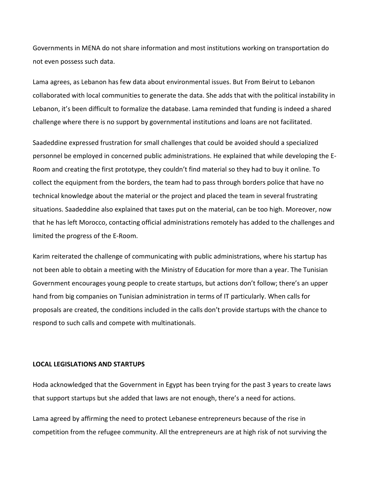Governments in MENA do not share information and most institutions working on transportation do not even possess such data.

Lama agrees, as Lebanon has few data about environmental issues. But From Beirut to Lebanon collaborated with local communities to generate the data. She adds that with the political instability in Lebanon, it's been difficult to formalize the database. Lama reminded that funding is indeed a shared challenge where there is no support by governmental institutions and loans are not facilitated.

Saadeddine expressed frustration for small challenges that could be avoided should a specialized personnel be employed in concerned public administrations. He explained that while developing the E-Room and creating the first prototype, they couldn't find material so they had to buy it online. To collect the equipment from the borders, the team had to pass through borders police that have no technical knowledge about the material or the project and placed the team in several frustrating situations. Saadeddine also explained that taxes put on the material, can be too high. Moreover, now that he has left Morocco, contacting official administrations remotely has added to the challenges and limited the progress of the E-Room.

Karim reiterated the challenge of communicating with public administrations, where his startup has not been able to obtain a meeting with the Ministry of Education for more than a year. The Tunisian Government encourages young people to create startups, but actions don't follow; there's an upper hand from big companies on Tunisian administration in terms of IT particularly. When calls for proposals are created, the conditions included in the calls don't provide startups with the chance to respond to such calls and compete with multinationals.

#### **LOCAL LEGISLATIONS AND STARTUPS**

Hoda acknowledged that the Government in Egypt has been trying for the past 3 years to create laws that support startups but she added that laws are not enough, there's a need for actions.

Lama agreed by affirming the need to protect Lebanese entrepreneurs because of the rise in competition from the refugee community. All the entrepreneurs are at high risk of not surviving the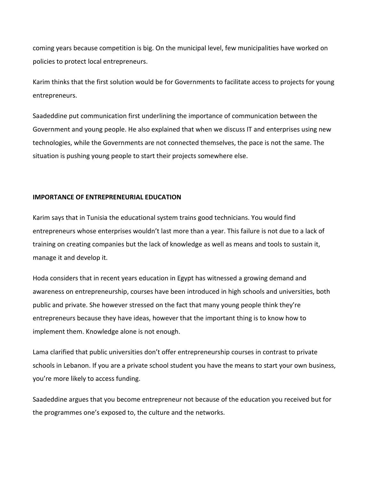coming years because competition is big. On the municipal level, few municipalities have worked on policies to protect local entrepreneurs.

Karim thinks that the first solution would be for Governments to facilitate access to projects for young entrepreneurs.

Saadeddine put communication first underlining the importance of communication between the Government and young people. He also explained that when we discuss IT and enterprises using new technologies, while the Governments are not connected themselves, the pace is not the same. The situation is pushing young people to start their projects somewhere else.

### **IMPORTANCE OF ENTREPRENEURIAL EDUCATION**

Karim says that in Tunisia the educational system trains good technicians. You would find entrepreneurs whose enterprises wouldn't last more than a year. This failure is not due to a lack of training on creating companies but the lack of knowledge as well as means and tools to sustain it, manage it and develop it.

Hoda considers that in recent years education in Egypt has witnessed a growing demand and awareness on entrepreneurship, courses have been introduced in high schools and universities, both public and private. She however stressed on the fact that many young people think they're entrepreneurs because they have ideas, however that the important thing is to know how to implement them. Knowledge alone is not enough.

Lama clarified that public universities don't offer entrepreneurship courses in contrast to private schools in Lebanon. If you are a private school student you have the means to start your own business, you're more likely to access funding.

Saadeddine argues that you become entrepreneur not because of the education you received but for the programmes one's exposed to, the culture and the networks.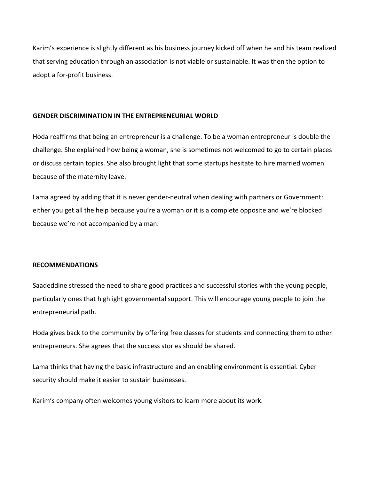Karim's experience is slightly different as his business journey kicked off when he and his team realized that serving education through an association is not viable or sustainable. It was then the option to adopt a for-profit business.

## **GENDER DISCRIMINATION IN THE ENTREPRENEURIAL WORLD**

Hoda reaffirms that being an entrepreneur is a challenge. To be a woman entrepreneur is double the challenge. She explained how being a woman, she is sometimes not welcomed to go to certain places or discuss certain topics. She also brought light that some startups hesitate to hire married women because of the maternity leave.

Lama agreed by adding that it is never gender-neutral when dealing with partners or Government: either you get all the help because you're a woman or it is a complete opposite and we're blocked because we're not accompanied by a man.

## **RECOMMENDATIONS**

Saadeddine stressed the need to share good practices and successful stories with the young people, particularly ones that highlight governmental support. This will encourage young people to join the entrepreneurial path.

Hoda gives back to the community by offering free classes for students and connecting them to other entrepreneurs. She agrees that the success stories should be shared.

Lama thinks that having the basic infrastructure and an enabling environment is essential. Cyber security should make it easier to sustain businesses.

Karim's company often welcomes young visitors to learn more about its work.